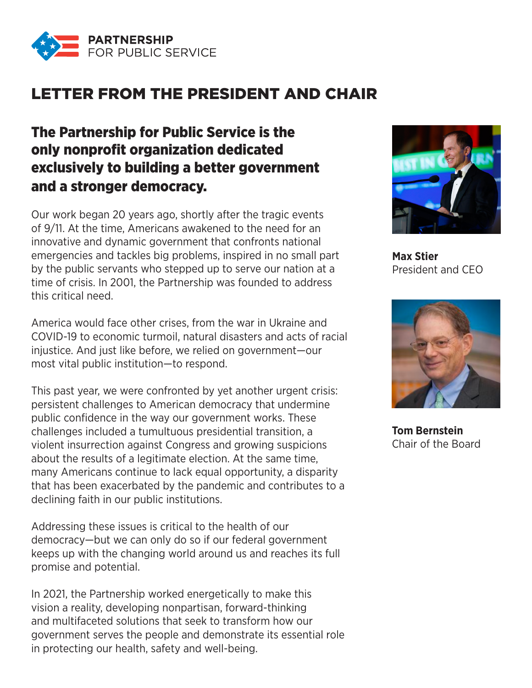

## LETTER FROM THE PRESIDENT AND CHAIR

## The Partnership for Public Service is the only nonprofit organization dedicated exclusively to building a better government and a stronger democracy.

Our work began 20 years ago, shortly after the tragic events of 9/11. At the time, Americans awakened to the need for an innovative and dynamic government that confronts national emergencies and tackles big problems, inspired in no small part by the public servants who stepped up to serve our nation at a time of crisis. In 2001, the Partnership was founded to address this critical need.

America would face other crises, from the war in Ukraine and COVID-19 to economic turmoil, natural disasters and acts of racial injustice. And just like before, we relied on government—our most vital public institution—to respond.

This past year, we were confronted by yet another urgent crisis: persistent challenges to American democracy that undermine public confidence in the way our government works. These challenges included a tumultuous presidential transition, a violent insurrection against Congress and growing suspicions about the results of a legitimate election. At the same time, many Americans continue to lack equal opportunity, a disparity that has been exacerbated by the pandemic and contributes to a declining faith in our public institutions.

Addressing these issues is critical to the health of our democracy—but we can only do so if our federal government keeps up with the changing world around us and reaches its full promise and potential.

In 2021, the Partnership worked energetically to make this vision a reality, developing nonpartisan, forward-thinking and multifaceted solutions that seek to transform how our government serves the people and demonstrate its essential role in protecting our health, safety and well-being.



**Max Stier** President and CEO



**Tom Bernstein** Chair of the Board